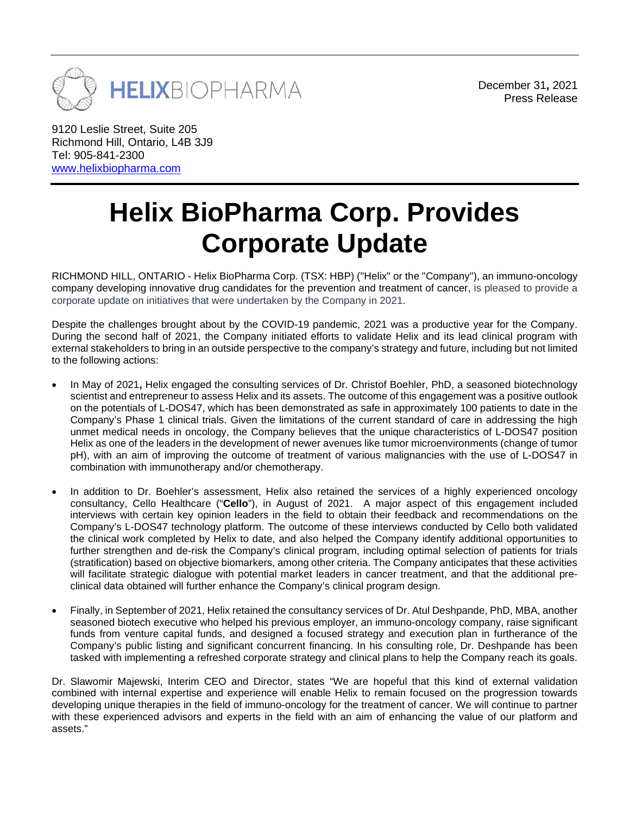

December 31**,** 2021 Press Release

9120 Leslie Street, Suite 205 Richmond Hill, Ontario, L4B 3J9 Tel: 905-841-2300 [www.helixbiopharma.com](http://www.helixbiopharma.com/)

## **Helix BioPharma Corp. Provides Corporate Update**

RICHMOND HILL, ONTARIO - Helix BioPharma Corp. (TSX: HBP) ("Helix" or the "Company"), an immuno-oncology company developing innovative drug candidates for the prevention and treatment of cancer, is pleased to provide a corporate update on initiatives that were undertaken by the Company in 2021.

Despite the challenges brought about by the COVID-19 pandemic, 2021 was a productive year for the Company. During the second half of 2021, the Company initiated efforts to validate Helix and its lead clinical program with external stakeholders to bring in an outside perspective to the company's strategy and future, including but not limited to the following actions:

- In May of 2021**,** Helix engaged the consulting services of Dr. Christof Boehler, PhD, a seasoned biotechnology scientist and entrepreneur to assess Helix and its assets. The outcome of this engagement was a positive outlook on the potentials of L-DOS47, which has been demonstrated as safe in approximately 100 patients to date in the Company's Phase 1 clinical trials. Given the limitations of the current standard of care in addressing the high unmet medical needs in oncology, the Company believes that the unique characteristics of L-DOS47 position Helix as one of the leaders in the development of newer avenues like tumor microenvironments (change of tumor pH), with an aim of improving the outcome of treatment of various malignancies with the use of L-DOS47 in combination with immunotherapy and/or chemotherapy.
- In addition to Dr. Boehler's assessment, Helix also retained the services of a highly experienced oncology consultancy, Cello Healthcare ("**Cello**"), in August of 2021. A major aspect of this engagement included interviews with certain key opinion leaders in the field to obtain their feedback and recommendations on the Company's L-DOS47 technology platform. The outcome of these interviews conducted by Cello both validated the clinical work completed by Helix to date, and also helped the Company identify additional opportunities to further strengthen and de-risk the Company's clinical program, including optimal selection of patients for trials (stratification) based on objective biomarkers, among other criteria. The Company anticipates that these activities will facilitate strategic dialogue with potential market leaders in cancer treatment, and that the additional preclinical data obtained will further enhance the Company's clinical program design.
- Finally, in September of 2021, Helix retained the consultancy services of Dr. Atul Deshpande, PhD, MBA, another seasoned biotech executive who helped his previous employer, an immuno-oncology company, raise significant funds from venture capital funds, and designed a focused strategy and execution plan in furtherance of the Company's public listing and significant concurrent financing. In his consulting role, Dr. Deshpande has been tasked with implementing a refreshed corporate strategy and clinical plans to help the Company reach its goals.

Dr. Slawomir Majewski, Interim CEO and Director, states "We are hopeful that this kind of external validation combined with internal expertise and experience will enable Helix to remain focused on the progression towards developing unique therapies in the field of immuno-oncology for the treatment of cancer. We will continue to partner with these experienced advisors and experts in the field with an aim of enhancing the value of our platform and assets."